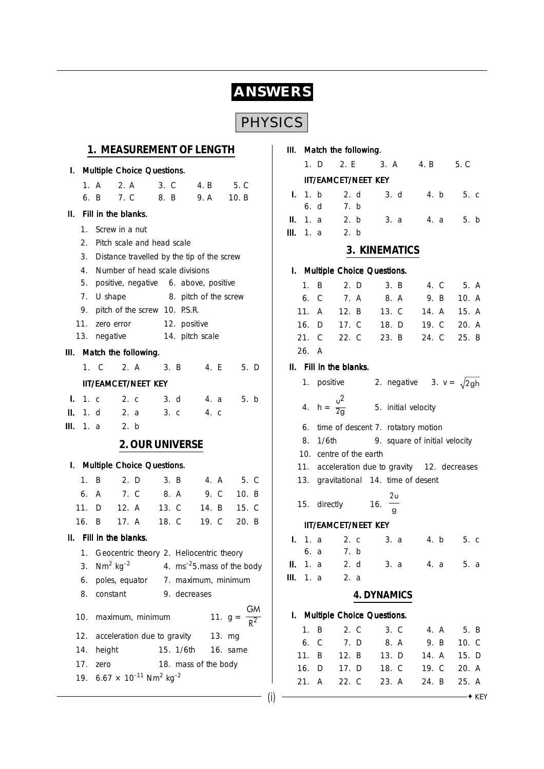# **ANSWERS**

PHYSICS

## **1. MEASUREMENT OF LENGTH**

## I. Multiple Choice Questions.

|  | 1. A 2. A 3. C 4. B 5. C  |  |
|--|---------------------------|--|
|  | 6. B 7. C 8. B 9. A 10. B |  |

## $II.$  Fill in the blanks.

- 1. Screw in a nut
- 2. Pitch scale and head scale
- 3. Distance travelled by the tip of the screw
- 4. Number of head scale divisions
- 5. positive, negative 6. above, positive
- 7. U shape 8. pitch of the screw
- 9. pitch of the screw 10. P.S.R.
- 11. zero error 12. positive
- 13. negative 14. pitch scale

#### III. Match the following.

|  | 1 C 2 A 3 R 4 F 5 D |  |
|--|---------------------|--|
|  |                     |  |

## IIT/EAMCET/NEET KEY

|                       | <b>I.</b> 1. c 2. c 3. d 4. a 5. b |  |
|-----------------------|------------------------------------|--|
|                       | <b>II.</b> 1. d 2. a 3. c 4. c     |  |
| <b>III.</b> 1. a 2. b |                                    |  |

## **2. OUR UNIVERSE**

## I. Multiple Choice Questions.

|  | 1. B 2. D 3. B 4. A 5. C      |  |  |
|--|-------------------------------|--|--|
|  | 6. A 7. C 8. A 9. C 10. B     |  |  |
|  | 11. D 12. A 13. C 14. B 15. C |  |  |
|  | 16. B 17. A 18. C 19. C 20. B |  |  |

#### $II.$  Fill in the blanks.

| 1. Geocentric theory 2. Heliocentric theory                 |                                |                          |  |
|-------------------------------------------------------------|--------------------------------|--------------------------|--|
| 3. $Nm^2$ kg <sup>-2</sup>                                  | 4. $ms^{-2}5.mass$ of the body |                          |  |
| 6. poles, equator 7. maximum, minimum                       |                                |                          |  |
| 8. constant                                                 | 9. decreases                   |                          |  |
| 10. maximum, minimum                                        |                                | 11. $g = \frac{GM}{R^2}$ |  |
| 12. acceleration due to gravity 13. mg                      |                                |                          |  |
| 14. height                                                  | 15. 1/6th 16. same             |                          |  |
| 17. zero                                                    | 18. mass of the body           |                          |  |
| 19. $6.67 \times 10^{-11}$ Nm <sup>2</sup> kg <sup>-2</sup> |                                |                          |  |

|       |                         | III. Match the following.     |  |                                             |  |  |
|-------|-------------------------|-------------------------------|--|---------------------------------------------|--|--|
|       |                         |                               |  | 1. D 2. E 3. A 4. B 5. C                    |  |  |
|       |                         | <b>IIT/EAMCET/NEET KEY</b>    |  |                                             |  |  |
|       |                         |                               |  | <b>I.</b> 1. b 2. d 3. d 4. b 5. c          |  |  |
|       |                         | 6. d 7. b                     |  |                                             |  |  |
|       |                         |                               |  | <b>II.</b> 1. a 2. b 3. a 4. a 5. b         |  |  |
|       |                         | <b>III.</b> 1. a 2. b         |  |                                             |  |  |
|       |                         |                               |  | <b>3. KINEMATICS</b>                        |  |  |
|       |                         | I. Multiple Choice Questions. |  |                                             |  |  |
|       |                         |                               |  | 1. B 2. D 3. B 4. C 5. A                    |  |  |
|       |                         |                               |  | 6. C 7. A 8. A 9. B 10. A                   |  |  |
|       |                         |                               |  | 11. A 12. B 13. C 14. A 15. A               |  |  |
|       |                         |                               |  | 16. D 17. C 18. D 19. C 20. A               |  |  |
|       |                         |                               |  | 21. C 22. C 23. B 24. C 25. B               |  |  |
| 26. A |                         |                               |  |                                             |  |  |
|       |                         | II. Fill in the blanks.       |  |                                             |  |  |
|       |                         |                               |  | 1. positive 2. negative 3. $v = \sqrt{2gh}$ |  |  |
|       | 4. $h = \frac{v^2}{2g}$ |                               |  | 5. initial velocity                         |  |  |
|       |                         |                               |  | 6. time of descent 7. rotatory motion       |  |  |
|       | 8. 1/6th                |                               |  | 9. square of initial velocity               |  |  |
|       |                         | 10. centre of the earth       |  |                                             |  |  |

- 
- 11. acceleration due to gravity 12. decreases
- 13. gravitational 14. time of desent

15. directly 16. 
$$
\frac{2u}{g}
$$

#### IIT/EAMCET/NEET KEY

|                       | <b>I.</b> 1. a 2. c 3. a 4. b 5. c  |  |  |
|-----------------------|-------------------------------------|--|--|
| 6.a 7.b               |                                     |  |  |
|                       | <b>II.</b> 1. a 2. d 3. a 4. a 5. a |  |  |
| <b>III.</b> 1. a 2. a |                                     |  |  |

#### **4. DYNAMICS**

#### I. Multiple Choice Questions.

|  | 1. B 2. C 3. C                | 4.A 5.B         |  |
|--|-------------------------------|-----------------|--|
|  | 6. C 7. D                     | 8. A 9. B 10. C |  |
|  | 11. B 12. B 13. D 14. A 15. D |                 |  |
|  | 16. D 17. D 18. C 19. C 20. A |                 |  |
|  | 21. A 22. C 23. A 24. B 25. A |                 |  |
|  |                               |                 |  |

✦ KEY (i)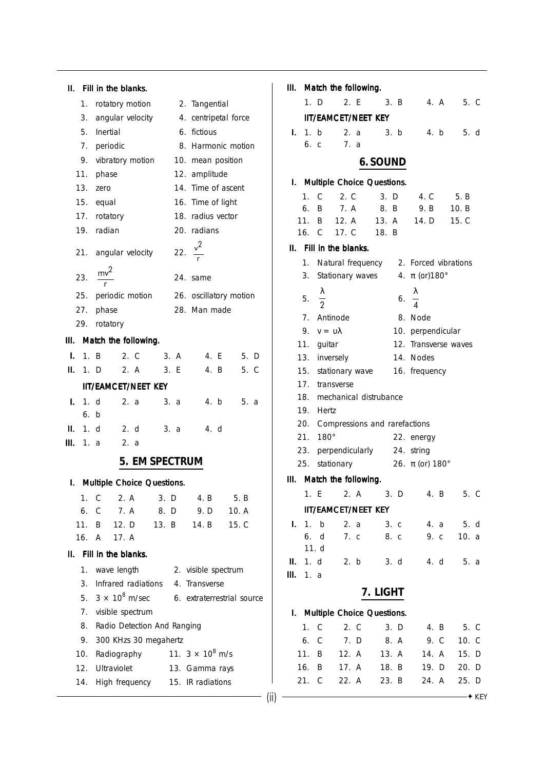| II. Fill in the blanks.            |                            | Match the following.<br>Ш.                                                          |
|------------------------------------|----------------------------|-------------------------------------------------------------------------------------|
| rotatory motion<br>1.              | 2. Tangential              | 1. D<br>2.E<br>3. B<br>5. C<br>4. A                                                 |
| angular velocity<br>3.             | 4. centripetal force       | <b>IIT/EAMCET/NEET KEY</b>                                                          |
| Inertial<br>5.                     | 6. fictious                | 1. 1. b<br>2. a<br>3. b<br>5. d<br>4. b                                             |
| periodic<br>7.                     | 8. Harmonic motion         | 6. c<br>7. a                                                                        |
| vibratory motion<br>9.             | 10. mean position          | 6. SOUND                                                                            |
| 11.<br>phase                       | 12. amplitude              |                                                                                     |
| 13.<br>zero                        | 14. Time of ascent         | I. Multiple Choice Questions.                                                       |
| 15.<br>equal                       | 16. Time of light          | 2. C<br>4. C<br>5. B<br>1.<br>C<br>3. D<br>7. A<br>8. B<br>6.<br>B<br>9. B<br>10. B |
| 17.<br>rotatory                    | 18. radius vector          | 11.<br>B<br>12. A<br>13. A<br>15. C<br>14. D                                        |
| 19. radian                         | 20. radians                | 17. C<br>16.<br>18. B<br>C                                                          |
| 21. angular velocity               | 22. $\frac{v^2}{r}$        | II. Fill in the blanks.                                                             |
|                                    |                            | 1. Natural frequency<br>2. Forced vibrations                                        |
| $\frac{mv^2}{2}$<br>23.            | 24. same                   | Stationary waves<br>3.<br>4. $\pi$ (or) 180°                                        |
| periodic motion<br>25.             | 26. oscillatory motion     | $\frac{\lambda}{2}$<br>λ<br>6. $\frac{1}{4}$<br>5.                                  |
| 27.<br>phase                       | 28. Man made               |                                                                                     |
| 29. rotatory                       |                            | Antinode<br>8. Node<br>7 <sub>1</sub><br>9.                                         |
| III. Match the following.          |                            | $v = v\lambda$<br>10. perpendicular<br>11.<br>guitar<br>12. Transverse waves        |
| 2. C<br>1. B<br>L.<br>3. A         | 4. E<br>5. D               | inversely<br>13.<br>14. Nodes                                                       |
| 2. A<br>3. E<br>П.<br>1. D         | 4. B<br>5. C               | stationary wave<br>15.<br>16. frequency                                             |
| <b>IIT/EAMCET/NEET KEY</b>         |                            | 17.<br>transverse                                                                   |
| $1.1$ . d<br>2. a<br>3. a          | 4. b<br>5. a               | 18.<br>mechanical distrubance                                                       |
| 6. b                               |                            | 19.<br>Hertz                                                                        |
| 3. a<br>II. 1. d<br>2. d           | 4. d                       | Compressions and rarefactions<br>20.                                                |
| III.<br>1. a<br>2. a               |                            | 21.<br>$180^\circ$<br>22. energy                                                    |
|                                    |                            | perpendicularly<br>24. string<br>23.                                                |
| 5. EM SPECTRUM                     |                            | 25. stationary<br>26. $\pi$ (or) 180°                                               |
| I. Multiple Choice Questions.      |                            | III. Match the following.                                                           |
| 1.<br>C<br>2. A<br>3. D            | 4. B<br>5. B               | 1. E<br>2. A<br>3. D<br>4. B<br>5. C                                                |
| $\mathsf{C}$<br>6.<br>7. A<br>8. D | 10. A<br>9. D              | <b>IIT/EAMCET/NEET KEY</b>                                                          |
| 11.<br>B<br>12. D<br>13. B         | 15. C<br>14. B             | $\mathsf{b}$<br>2. a<br>3. c<br>5. d<br>$\mathbf{1}$ .<br>4. a<br>L.                |
| 16. A<br>17. A                     |                            | 6.<br>d<br>7. c<br>8. c<br>10. a<br>9. c                                            |
| II. Fill in the blanks.            |                            | 11. d                                                                               |
| wave length<br>$1_{\cdot}$         | 2. visible spectrum        | II. 1. d<br>2. b<br>3. d<br>5. a<br>4. d<br>III. 1. a                               |
| Infrared radiations<br>3.          | 4. Transverse              |                                                                                     |
| $3 \times 10^8$ m/sec<br>5.        | 6. extraterrestrial source | 7. LIGHT                                                                            |
| visible spectrum<br>7.             |                            | Multiple Choice Questions.<br>L.                                                    |
| Radio Detection And Ranging<br>8.  |                            | 2. C<br>1. C<br>3. D<br>4. B<br>5. C                                                |
| 300 KHzs 30 megahertz<br>9.        |                            | 7. D<br>8. A<br>9. C<br>10. C<br>6.<br>$\mathsf{C}$                                 |
| Radiography<br>10.                 | 11. $3 \times 10^8$ m/s    | 11. B<br>12. A<br>13. A<br>15. D<br>14. A                                           |
| Ultraviolet<br>12.                 | 13. Gamma rays             | 16.<br>$\overline{B}$<br>17. A<br>18. B<br>19. D<br>20. D                           |
| High frequency<br>14.              | 15. IR radiations          | 21. C<br>22. A<br>23. B<br>24. A<br>25. D                                           |
|                                    | (ii)                       | $\triangle$ KEY                                                                     |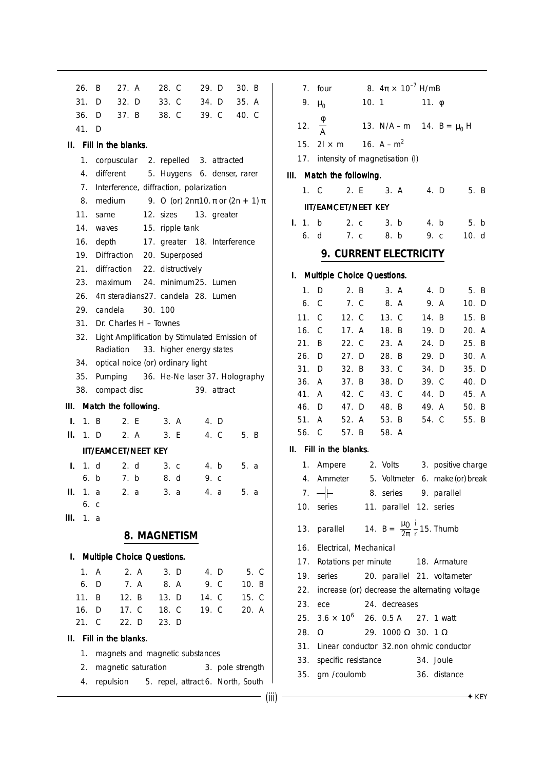26. B 27. A 28. C 29. D 30. B 31. D 32. D 33. C 34. D 35. A 36. D 37. B 38. C 39. C 40. C 41. D II. Fill in the blanks. 1. corpuscular 2. repelled 3. attracted 4. different 5. Huygens 6. denser, rarer 7. Interference, diffraction, polarization 8. medium 9. O (or)  $2nπ10. π$  or  $(2n + 1) π$ 11. same 12. sizes 13. greater 14. waves 15. ripple tank 16. depth 17. greater 18. Interference 19. Diffraction 20. Superposed 21. diffraction 22. distructively 23. maximum 24. minimum25. Lumen 26. 4π steradians27. candela 28. Lumen 29. candela 30. 100 31. Dr. Charles H – Townes 32. Light Amplification by Stimulated Emission of Radiation 33. higher energy states 34. optical noice (or) ordinary light 35. Pumping 36. He-Ne laser 37. Holography 38. compact disc 39. attract III. Match the following. **I.** 1. B 2. E 3. A 4. D **II.** 1. D 2. A 3. E 4. C 5. B IIT/EAMCET/NEET KEY **I.** 1. d 2. d 3. c 4. b 5. a 6. b 7. b 8. d 9. c **II.** 1. a 2. a 3. a 4. a 5. a 6. c **III.** 1. a **8. MAGNETISM** I. Multiple Choice Questions. 1. A 2. A 3. D 4. D 5. C 6. D 7. A 8. A 9. C 10. B 11. B 12. B 13. D 14. C 15. C 16. D 17. C 18. C 19. C 20. A 21. C 22. D 23. D II. Fill in the blanks. 1. magnets and magnetic substances 2. magnetic saturation 3. pole strength 4. repulsion 5. repel, attract 6. North, South

| 7.                     | four                                               |              |                | 8. $4\pi \times 10^{-7}$ H/mB    |     |                                                    |                               |   |
|------------------------|----------------------------------------------------|--------------|----------------|----------------------------------|-----|----------------------------------------------------|-------------------------------|---|
| 9.                     | $\mu_0$                                            | 10.          | $\overline{1}$ |                                  |     | $11.$ $\phi$                                       |                               |   |
|                        |                                                    |              |                |                                  |     |                                                    |                               |   |
| 12. $\frac{\phi}{A}$   |                                                    |              |                |                                  |     |                                                    | 13. N/A – m 14. B = $\mu_0$ H |   |
|                        | 15. $2l \times m$ 16. A – $m^2$                    |              |                |                                  |     |                                                    |                               |   |
|                        | 17. intensity of magnetisation (I)                 |              |                |                                  |     |                                                    |                               |   |
|                        | III. Match the following.                          |              |                |                                  |     |                                                    |                               |   |
| 1. C                   |                                                    | 2. E 3. A    |                |                                  |     | 4. D                                               | 5. B                          |   |
|                        | <b>IIT/EAMCET/NEET KEY</b>                         |              |                |                                  |     |                                                    |                               |   |
| $\overline{1}$ .<br>I. | b                                                  | 2. c         | 3. b           |                                  |     | 4. b                                               | 5. b                          |   |
| 6.                     | d                                                  | 7. c 8. b    |                |                                  |     | 9. c                                               | 10. d                         |   |
|                        | 9. CURRENT ELECTRICITY                             |              |                |                                  |     |                                                    |                               |   |
|                        |                                                    |              |                |                                  |     |                                                    |                               |   |
|                        | I. Multiple Choice Questions.                      |              |                |                                  |     |                                                    |                               |   |
| 1.                     | D                                                  | 2. B<br>7. C | 3. A<br>8. A   |                                  |     | 4. D                                               | 5. B                          |   |
| 6.<br>11.              | C<br>$\overline{C}$<br>12. C                       |              | 13. C          |                                  | 14. | 9. A<br>- B                                        | 10. D<br>15. B                |   |
| 16. C                  |                                                    | 17. A        | 18. B          |                                  |     | 19. D                                              | 20. A                         |   |
| 21.                    | 22. C<br>B.                                        |              | 23. A          |                                  | 24. | D                                                  | 25.                           | B |
| 26. D                  |                                                    | 27. D        | 28. B          |                                  | 29. | - D                                                | 30. A                         |   |
| 31. D                  |                                                    | 32. B        | 33. C          |                                  |     | 34. D                                              | 35. D                         |   |
| 36. A                  | 37.                                                | -B           | 38. D          |                                  |     | 39. C                                              | 40. D                         |   |
| 41. A                  |                                                    | 42. C        | 43. C          |                                  |     | 44. D                                              | 45. A                         |   |
| 46.                    | D                                                  | 47. D        | 48. B          |                                  |     | 49. A                                              | 50. B                         |   |
| 51.                    | 52.<br>A                                           | A            | 53.            | <sup>B</sup>                     |     | 54. C                                              | 55. B                         |   |
| 56.                    | C                                                  | 57. B        | 58. A          |                                  |     |                                                    |                               |   |
|                        | II. Fill in the blanks.                            |              |                |                                  |     |                                                    |                               |   |
| 1.                     | Ampere 2. Volts 3. positive charge                 |              |                |                                  |     |                                                    |                               |   |
| 4.                     | Ammeter 5. Voltmeter 6. make (or) break            |              |                |                                  |     |                                                    |                               |   |
| 7.                     |                                                    |              |                |                                  |     | 8. series 9. parallel                              |                               |   |
|                        | 10. series                                         |              |                |                                  |     | 11. parallel 12. series                            |                               |   |
|                        | 13. parallel                                       |              |                |                                  |     | 14. B = $\frac{\mu_0}{2\pi} \frac{i}{r}$ 15. Thumb |                               |   |
|                        | 16. Electrical, Mechanical                         |              |                |                                  |     |                                                    |                               |   |
|                        | 17. Rotations per minute 18. Armature              |              |                |                                  |     |                                                    |                               |   |
|                        | 19. series                                         |              |                |                                  |     |                                                    | 20. parallel 21. voltameter   |   |
|                        | 22. increase (or) decrease the alternating voltage |              |                |                                  |     |                                                    |                               |   |
| 23.                    | ece                                                |              |                | 24. decreases                    |     |                                                    |                               |   |
|                        | 25. $3.6 \times 10^6$ 26. 0.5 A 27. 1 watt         |              |                |                                  |     |                                                    |                               |   |
| 28. $\Omega$           |                                                    |              |                | 29. 1000 $\Omega$ 30. 1 $\Omega$ |     |                                                    |                               |   |
|                        | 31. Linear conductor 32.non ohmic conductor        |              |                |                                  |     |                                                    |                               |   |
|                        | 33. specific resistance                            |              |                |                                  |     | 34. Joule                                          |                               |   |
|                        | 35. gm /coulomb                                    |              |                |                                  |     | 36. distance                                       |                               |   |
|                        |                                                    |              |                |                                  |     |                                                    |                               |   |

✦ KEY (iii)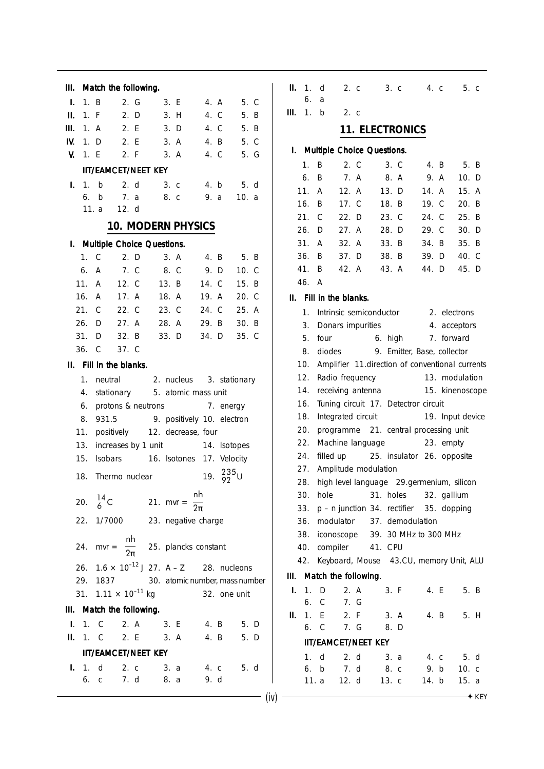| III. |       | Match the following.                               |                         |                                |                |       |                      |              |   |
|------|-------|----------------------------------------------------|-------------------------|--------------------------------|----------------|-------|----------------------|--------------|---|
| Τ.   | 1. B  |                                                    | 2. G                    |                                | 3. E           | 4. A  |                      | 5. C         |   |
| Ш.   | 1. F  |                                                    | 2. D                    |                                | 3. H           | 4. C  |                      | 5. B         |   |
| Ш.   | 1. A  |                                                    | 2.E                     |                                | 3. D           | 4. C  |                      | 5. B         |   |
| IV.  | 1. D  |                                                    | 2.E                     |                                | 3. A           | 4. B  |                      | 5. C         |   |
| V.   | 1. E  |                                                    | 2. F                    |                                | 3. A           | 4. C  |                      | 5. G         |   |
|      |       | <b>IIT/EAMCET/NEET KEY</b>                         |                         |                                |                |       |                      |              |   |
| Ι.   | 1.    | b                                                  | 2. d                    |                                | 3. c           | 4. b  |                      | 5.           | d |
|      | 6.    | b                                                  | 7. a                    |                                | 8. c           | 9. a  |                      | 10. a        |   |
|      |       | 11. a                                              | 12. d                   |                                |                |       |                      |              |   |
|      |       |                                                    |                         | <b>10. MODERN PHYSICS</b>      |                |       |                      |              |   |
|      |       | I. Multiple Choice Questions.                      |                         |                                |                |       |                      |              |   |
|      | 1.    | C                                                  | 2. D                    | 3. A                           |                | 4. B  |                      | 5.           | B |
|      | 6.    | A                                                  | $7^{\circ}$ C           |                                | 8 <sub>c</sub> | 9. D  |                      | 10. C        |   |
|      | 11.   | A                                                  | 12. C                   | 13. B                          |                | 14. C |                      | 15. B        |   |
|      | 16. A |                                                    | 17. A                   | 18. A                          |                | 19. A |                      | 20. C        |   |
|      | 21. C |                                                    | 22. C                   | 23. C                          |                | 24. C |                      | 25. A        |   |
|      | 26. D |                                                    | 27. A                   |                                | 28. A          |       | 29. B                | 30. B        |   |
|      | 31. D |                                                    | 32. B                   |                                | 33. D          | 34. D |                      | 35. C        |   |
|      | 36. C |                                                    | 37. C                   |                                |                |       |                      |              |   |
|      |       | II. Fill in the blanks.                            |                         |                                |                |       |                      |              |   |
|      |       | 1. neutral                                         |                         | 2. nucleus 3. stationary       |                |       |                      |              |   |
|      | 4.    |                                                    |                         | stationary 5. atomic mass unit |                |       |                      |              |   |
|      |       | 6. protons & neutrons                              |                         |                                |                |       | 7. energy            |              |   |
|      | 8.    | 931.5                                              |                         | 9. positively 10. electron     |                |       |                      |              |   |
|      | 11.   | 13. increases by 1 unit                            |                         | positively 12. decrease, four  |                |       |                      |              |   |
|      | 15.   | <b>Isobars</b>                                     |                         | 16. Isotones 17. Velocity      |                |       |                      | 14. Isotopes |   |
|      |       |                                                    |                         |                                |                |       |                      |              |   |
|      |       | 18. Thermo nuclear                                 |                         |                                |                |       | 19. 235 <sub>U</sub> |              |   |
|      |       | 20. $^{14}_{6}$ C                                  |                         | 21. mvr = $\frac{1}{2\pi}$     |                | nh    |                      |              |   |
|      |       |                                                    |                         |                                |                |       |                      |              |   |
|      |       | 22. 1/7000 23. negative charge                     |                         |                                |                |       |                      |              |   |
|      |       | 24. $mvr =$                                        | nh<br>$\overline{2\pi}$ | 25. plancks constant           |                |       |                      |              |   |
|      |       | 26. $1.6 \times 10^{-12}$ J 27. A – Z 28. nucleons |                         |                                |                |       |                      |              |   |
|      |       | 29. 1837 30. atomic number, mass number            |                         |                                |                |       |                      |              |   |
|      |       | 31. $1.11 \times 10^{-11}$ kg                      |                         |                                |                |       |                      | 32. one unit |   |
|      |       | III. Match the following.                          |                         |                                |                |       |                      |              |   |
| L.   |       | 1. C 2. A                                          |                         | 3. E 4. B 5. D                 |                |       |                      |              |   |
| Ⅱ.   |       | 1. C 2. E 3. A 4. B 5. D                           |                         |                                |                |       |                      |              |   |
|      |       | <b>IIT/EAMCET/NEET KEY</b>                         |                         |                                |                |       |                      |              |   |
| ı.   | 1. d  |                                                    |                         | 2. c 3. a 4. c 5. d            |                |       |                      |              |   |
|      |       | 6. c                                               | 7. d                    |                                | 8. a           | 9. d  |                      |              |   |
|      |       |                                                    |                         |                                |                |       |                      |              |   |

| Н.<br>1.       | 2. c<br>3. c<br>d<br>4. C<br>5. c                               |  |  |  |  |  |
|----------------|-----------------------------------------------------------------|--|--|--|--|--|
| 6.<br>Ш.<br>1. | a<br>b                                                          |  |  |  |  |  |
|                | 2. c                                                            |  |  |  |  |  |
|                | <b>11. ELECTRONICS</b>                                          |  |  |  |  |  |
|                | I. Multiple Choice Questions.                                   |  |  |  |  |  |
| 1.             | 2. C<br>3. C<br>5.<br>B<br>4. B<br>B                            |  |  |  |  |  |
| 6.             | 7. A<br>8. A<br>9. A<br>10.<br>B<br>D                           |  |  |  |  |  |
| 11.            | 14. A<br>A<br>12. A<br>13. D<br>15.<br>A                        |  |  |  |  |  |
| 16.            | 17. C<br>19. C<br>B<br>18. B<br>20.<br>B                        |  |  |  |  |  |
| 21.            | C<br>22. D<br>23. C<br>24. C<br>25. B                           |  |  |  |  |  |
| 26.            | 29. C<br>D<br>27. A<br>28. D<br>30.<br>D                        |  |  |  |  |  |
| 31.            | 34. B<br>A<br>32. A<br>33. B<br>35. B                           |  |  |  |  |  |
| 36.            | B<br>37. D<br>38. B<br>40. C<br>39. D                           |  |  |  |  |  |
| 41.<br>46.     | 43. A<br>45. D<br>B<br>42. A<br>44. D<br>A                      |  |  |  |  |  |
| Н.             | Fill in the blanks.                                             |  |  |  |  |  |
| 1.             | Intrinsic semiconductor<br>2. electrons                         |  |  |  |  |  |
| 3.             | 4. acceptors<br>Donars impurities                               |  |  |  |  |  |
| 5.             | 7. forward<br>four<br>6.<br>high                                |  |  |  |  |  |
| 8.             | 9. Emitter, Base, collector<br>diodes                           |  |  |  |  |  |
| 10.            | Amplifier 11.direction of conventional currents                 |  |  |  |  |  |
| 12.            | Radio frequency<br>13. modulation                               |  |  |  |  |  |
| 14.            | receiving antenna<br>15. kinenoscope                            |  |  |  |  |  |
| 16.            | Tuning circuit 17. Detectror circuit                            |  |  |  |  |  |
| 18.            | Integrated circuit<br>19. Input device                          |  |  |  |  |  |
| 20.            | programme 21. central processing unit                           |  |  |  |  |  |
| 22.            | Machine language<br>23. empty                                   |  |  |  |  |  |
| 24.            | 25. insulator 26. opposite<br>filled up                         |  |  |  |  |  |
| 27.            | Amplitude modulation                                            |  |  |  |  |  |
| 28.            | high level language 29.germenium, silicon                       |  |  |  |  |  |
| 30.            | 31. holes 32. gallium<br>hole                                   |  |  |  |  |  |
| 33.            | p - n junction 34. rectifier 35. dopping                        |  |  |  |  |  |
| 36.            | modulator<br>37. demodulation                                   |  |  |  |  |  |
| 38.<br>40.     | iconoscope<br>39. 30 MHz to 300 MHz                             |  |  |  |  |  |
| 42.            | 41. CPU<br>compiler<br>Keyboard, Mouse 43.CU, memory Unit, ALU  |  |  |  |  |  |
| Ш.             | Match the following.                                            |  |  |  |  |  |
| 1.<br>I.       | 2. A<br>D<br>4. E<br>3. F<br>5. B                               |  |  |  |  |  |
| 6.             | $\mathsf{C}$<br>7. G                                            |  |  |  |  |  |
| 1.<br>Ш.       | 2. F<br>E<br>3. A<br>4. B<br>5. H                               |  |  |  |  |  |
| 6.             | 7. G<br>$\mathsf{C}$<br>8. D                                    |  |  |  |  |  |
|                | <b>IIT/EAMCET/NEET KEY</b>                                      |  |  |  |  |  |
| 1.             | 2. d<br>d<br>3.<br>4. C<br>a<br>5. d                            |  |  |  |  |  |
| 6.             | 7.<br>b<br>d<br>8.<br>9. b<br>10.<br>$\mathsf C$<br>$\mathsf C$ |  |  |  |  |  |
|                | 11. a<br>12. d<br>13. c<br>14. b<br>15.<br>а                    |  |  |  |  |  |

 $-$  (iv)  $-$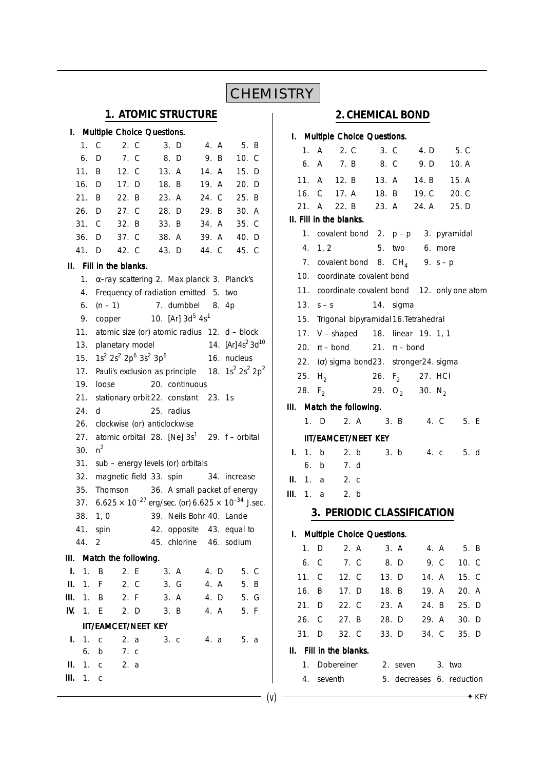# **CHEMISTRY**

## **1. ATOMIC STRUCTURE**

|       |               |                | I. Multiple Choice Questions. |               |         |
|-------|---------------|----------------|-------------------------------|---------------|---------|
|       | $1^{\circ}$ C | 2. C           | 3. D                          | 4. A          | 5. B    |
|       | 6. D          | 7. C           | 8. D                          | 9. B          | 10. C   |
| 11. B |               | 12. C          | 13. A                         | 14 A          | 15. D   |
|       | 16. D         | $17.$ D        | 18. B                         | 19A           | $20.$ D |
| 21. B |               | 22. B          | 23. A                         | 24. C         | 25. B   |
|       | $26.$ D       | 27. C          | 28. D                         | 29. B         | 30. A   |
|       | $31. \quad C$ | 32. B          | 33. B                         | 34. A         | 35. C   |
|       | 36. D         | $37. \text{C}$ | 38. A                         | 39. A         | $40.$ D |
| 41.   | D             | $42\degree$ C  | 43.<br>D                      | $44\degree$ C | 45. C   |

### $II.$  Fill in the blanks.

1.  $\alpha$ -ray scattering 2. Max planck 3. Planck's 4. Frequency of radiation emitted 5. two 6. (n – 1) 7. dumbbel 8. 4p 9. copper 10. [Ar]  $3d^5 4s^1$ 11. atomic size (or) atomic radius 12. d – block 13. planetary model 14.  $[Ar] 4s<sup>2</sup> 3d<sup>10</sup>$ 15.  $1s^2 2s^2 2p^6 3s^2$ 16. nucleus 17. Pauli's exclusion as principle  $2s^2 2p^2$ 19. loose 20. continuous 21. stationary orbit 22. constant 23. 1s 24. d 25. radius 26. clockwise (or) anticlockwise 27. atomic orbital 28.  $[Ne]$  3s<sup>1</sup> 29. f – orbital 30.  $n^2$ 31. sub – energy levels (or) orbitals 32. magnetic field 33. spin 34. increase 35. Thomson 36. A small packet of energy 37. 6.625  $\times$  10<sup>-27</sup> erg/sec. (or) 6.625  $\times$  10<sup>-34</sup> J.sec. 38. 1, 0 39. Neils Bohr 40. Lande 41. spin 42. opposite 43. equal to 44. 2 45. chlorine 46. sodium III. Match the following. **I.** 1. B 2. E 3. A 4. D 5. C **II.** 1. F 2. C 3. G 4. A 5. B III. 1. B 2. F 3. A 4. D 5. G IV. 1. E 2. D 3. B 4. A 5. F IIT/EAMCET/NEET KEY **I.** 1. c 2. a 3. c 4. a 5. a 6. b 7. c II.  $1. c 2. a$ III.  $1. c$ 

## **2. CHEMICAL BOND**

| I. Multiple Choice Questions. |                                                |      |           |                     |      |                           |  |  |  |  |
|-------------------------------|------------------------------------------------|------|-----------|---------------------|------|---------------------------|--|--|--|--|
| 1 <sup>1</sup>                | A<br>2. C                                      | 3. C |           | 4. D 5. C           |      |                           |  |  |  |  |
|                               | 6. A 7. B                                      |      | 8. C      | 9. D 10. A          |      |                           |  |  |  |  |
|                               | 11. A 12. B 13. A 14. B                        |      |           |                     |      | 15. A                     |  |  |  |  |
|                               | 16. C<br>17. A 18. B 19. C 20. C               |      |           |                     |      |                           |  |  |  |  |
|                               | 21. A<br>22. B 23. A 24. A 25. D               |      |           |                     |      |                           |  |  |  |  |
|                               | II. Fill in the blanks.                        |      |           |                     |      |                           |  |  |  |  |
|                               | 1. covalent bond 2. $p - p$ 3. pyramidal       |      |           |                     |      |                           |  |  |  |  |
| 4.                            | 1, 2                                           | 5.   |           | two 6. more         |      |                           |  |  |  |  |
|                               | 7. covalent bond 8. $CH_4$ 9. s - p            |      |           |                     |      |                           |  |  |  |  |
|                               | 10. coordinate covalent bond                   |      |           |                     |      |                           |  |  |  |  |
|                               | 11. coordinate covalent bond 12. only one atom |      |           |                     |      |                           |  |  |  |  |
|                               | 13. $s - s$                                    |      | 14. sigma |                     |      |                           |  |  |  |  |
|                               | 15. Trigonal bipyramidal 16. Tetrahedral       |      |           |                     |      |                           |  |  |  |  |
|                               | 17. V - shaped 18. linear 19. 1, 1             |      |           |                     |      |                           |  |  |  |  |
|                               | 20. $\pi$ – bond 21. $\pi$ – bond              |      |           |                     |      |                           |  |  |  |  |
|                               | 22. (σ) sigma bond23. stronger24. sigma        |      |           |                     |      |                           |  |  |  |  |
| 25. $H_2$                     |                                                |      |           | 26. $F_2$ 27. HCI   |      |                           |  |  |  |  |
| 28. $F_2$                     |                                                |      |           | 29. $O_2$ 30. $N_2$ |      |                           |  |  |  |  |
|                               | III. Match the following.                      |      |           |                     |      |                           |  |  |  |  |
|                               | 1. D<br>2. A                                   |      | 3. B      |                     | 4. C | 5. E                      |  |  |  |  |
|                               | <b>IIT/EAMCET/NEET KEY</b>                     |      |           |                     |      |                           |  |  |  |  |
| 1. 1. b                       | 2. b                                           | 3. b |           | 4. C                |      | 5. d                      |  |  |  |  |
|                               | 7. d<br>6. b                                   |      |           |                     |      |                           |  |  |  |  |
|                               | <b>II.</b> 1. a 2. c                           |      |           |                     |      |                           |  |  |  |  |
|                               | <b>III.</b> 1. a 2. b                          |      |           |                     |      |                           |  |  |  |  |
|                               | 3. PERIODIC CLASSIFICATION                     |      |           |                     |      |                           |  |  |  |  |
|                               | I. Multiple Choice Questions                   |      |           |                     |      |                           |  |  |  |  |
| 1.                            | 2. A<br>D                                      |      | 3. A      | 4. A                |      | 5. B                      |  |  |  |  |
| 6.                            | 7. C<br>C                                      |      | 8. D      | 9. C                |      | 10. C                     |  |  |  |  |
| 11.                           | 12. C<br>$\mathsf{C}$                          |      |           | 13. D 14. A         |      | 15. C                     |  |  |  |  |
| 16.                           | 17. D<br>B                                     |      | 18. B     | 19. A               |      | 20. A                     |  |  |  |  |
| 21.                           | 22. C<br>D                                     |      | 23. A     | 24. B               |      | 25. D                     |  |  |  |  |
| 26.                           | C<br>27. B                                     |      | 28. D     | 29. A               |      | 30. D                     |  |  |  |  |
| 31.                           | 32. C<br>D                                     |      | 33. D     | 34. C               |      | 35. D                     |  |  |  |  |
|                               | II. Fill in the blanks.                        |      |           |                     |      |                           |  |  |  |  |
| 1.                            | Dobereiner                                     |      | 2. seven  |                     |      | 3. two                    |  |  |  |  |
| 4.                            | seventh                                        |      |           |                     |      | 5. decreases 6. reduction |  |  |  |  |

 $\begin{picture}(180,10) \put(0,0){\line(1,0){10}} \put(10,0){\line(1,0){10}} \put(10,0){\line(1,0){10}} \put(10,0){\line(1,0){10}} \put(10,0){\line(1,0){10}} \put(10,0){\line(1,0){10}} \put(10,0){\line(1,0){10}} \put(10,0){\line(1,0){10}} \put(10,0){\line(1,0){10}} \put(10,0){\line(1,0){10}} \put(10,0){\line(1,0){10}} \put(10,0){\line($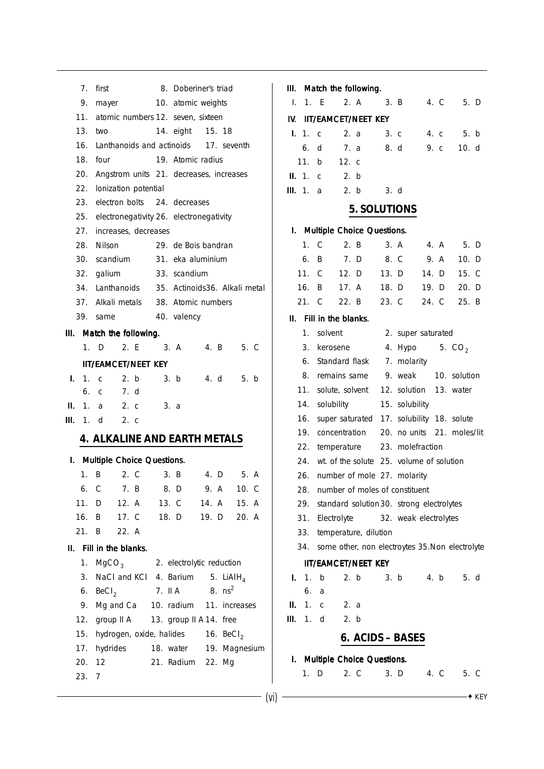| 7.           | first                             | 8. Doberiner's triad                           |
|--------------|-----------------------------------|------------------------------------------------|
| 9.           | mayer                             | 10. atomic weights                             |
| 11.          | atomic numbers 12. seven, sixteen |                                                |
| 13.          | two                               | 14. eight 15. 18                               |
| 16.          |                                   | Lanthanoids and actinoids 17. seventh          |
| 18.          | four                              | 19. Atomic radius                              |
|              |                                   | 20. Angstrom units 21. decreases, increases    |
|              | 22. Ionization potential          |                                                |
|              | 23. electron bolts 24. decreases  |                                                |
|              |                                   | 25. electronegativity 26. electronegativity    |
|              | 27. increases, decreases          |                                                |
|              | 28. Nilson                        | 29. de Bois bandran                            |
|              | 30. scandium                      | 31. eka aluminium                              |
|              | 32. galium                        | 33. scandium                                   |
|              | 34. Lanthanoids                   | 35. Actinoids36. Alkali metal                  |
|              |                                   | 37. Alkali metals 38. Atomic numbers           |
|              | 39. same                          | 40. valency                                    |
|              | III. Match the following.         |                                                |
|              | 2. E<br>1. D                      | 5. C<br>3. A<br>4. B                           |
|              | <b>IIT/EAMCET/NEET KEY</b>        |                                                |
| $\mathbf{L}$ | 1. c 2. b                         | 3. b<br>4. d<br>5. b                           |
|              | 7. d<br>6. c                      |                                                |
| II. 1. a     | 2. C                              | 3. a                                           |
| Ш.           | 1. d 2. c                         |                                                |
|              |                                   | <b>4. ALKALINE AND EARTH METALS</b>            |
|              |                                   |                                                |
|              | I. Multiple Choice Questions.     |                                                |
| 1.           | 2. C<br>B                         | 3. B 4. D<br>5. A                              |
| 6. C         |                                   | 7. B 8. D 9. A 10. C                           |
| 11.          | 12. A<br>D                        | 13. C 14. A<br>15. A                           |
| 16.          | 17. C<br>B                        | 18. D<br>19. D<br>20. A                        |
| 21.          | 22. A<br>B                        |                                                |
|              | II. Fill in the blanks.           |                                                |
| 1.           | MgCO <sub>3</sub>                 | 2. electrolytic reduction                      |
| 3.           | NaCI and KCI 4. Barium            | 5. LiA $I\!H$ <sub>1</sub>                     |
| 6.           | $BeCI_{2}$                        | ns <sup>2</sup><br>7. II A<br>8.               |
| 9.           |                                   | Mg and Ca 10. radium 11. increases             |
| 12.          | group II A                        | 13. group II A 14. free                        |
| 15.          |                                   | hydrogen, oxide, halides 16. BeCI <sub>2</sub> |
| 17.          | hydrides                          | 18. water<br>19. Magnesium                     |
| 20.          | 12                                | 21. Radium 22. Mg                              |
| 23.          | 7                                 |                                                |

|                                                  |            |                            | III. Match the following.         |                |       |                                |       |      |                                                 |      |  |  |  |  |
|--------------------------------------------------|------------|----------------------------|-----------------------------------|----------------|-------|--------------------------------|-------|------|-------------------------------------------------|------|--|--|--|--|
| I.                                               |            | 1. E                       | 2. A                              |                | 3. B  |                                |       | 4. C |                                                 | 5. D |  |  |  |  |
| IV.                                              |            | <b>IIT/EAMCET/NEET KEY</b> |                                   |                |       |                                |       |      |                                                 |      |  |  |  |  |
| I.                                               | 1.         | Ċ                          | 2.                                | a              | 3.    | $\mathsf{C}$                   |       | 4. c | 5.                                              | b    |  |  |  |  |
|                                                  | 6.         | d                          | 7.                                | a              | 8. d  |                                |       | 9. c | 10.                                             | d    |  |  |  |  |
|                                                  | 11.        | b                          | 12.                               | C              |       |                                |       |      |                                                 |      |  |  |  |  |
|                                                  | II. 1.     | C                          | 2.                                | b              |       |                                |       |      |                                                 |      |  |  |  |  |
| Ш.                                               | 1.         | a                          | 2.                                | b              | 3. d  |                                |       |      |                                                 |      |  |  |  |  |
| <b>5. SOLUTIONS</b>                              |            |                            |                                   |                |       |                                |       |      |                                                 |      |  |  |  |  |
| I. Multiple Choice Questions.                    |            |                            |                                   |                |       |                                |       |      |                                                 |      |  |  |  |  |
|                                                  | 1.         | С                          | 2.                                | B              | 3. A  |                                |       | 4. A | 5.                                              | D    |  |  |  |  |
|                                                  | 6.         | B                          | 7.                                | D              | 8.    | С                              | 9.    | A    | 10.                                             | D    |  |  |  |  |
|                                                  | 11.        | $\mathcal{C}$              | 12.                               | D              | 13.   | D                              | 14. D |      | 15.                                             | С    |  |  |  |  |
|                                                  | 16.        | B                          | 17.                               | $\overline{A}$ | 18.   | D                              | 19. D |      | 20.                                             | D    |  |  |  |  |
|                                                  | 21. C      |                            | 22. B                             |                | 23. C |                                | 24. C |      | 25. B                                           |      |  |  |  |  |
|                                                  |            |                            | II. Fill in the blanks.           |                |       |                                |       |      |                                                 |      |  |  |  |  |
|                                                  | 1.         | solvent                    |                                   |                | 2.    | super saturated                |       |      |                                                 |      |  |  |  |  |
|                                                  | 3.         |                            | kerosene                          |                | 4.    | Hypo                           |       |      | 5. $CO2$                                        |      |  |  |  |  |
|                                                  | 6.         |                            | Standard flask                    |                | 7.    | molarity                       |       |      |                                                 |      |  |  |  |  |
|                                                  | 8.         |                            | remains same                      |                | 9.    | weak                           |       | 10.  | solution                                        |      |  |  |  |  |
|                                                  | 11.        |                            | solute, solvent                   |                | 12.   | solution                       |       |      | 13. water                                       |      |  |  |  |  |
|                                                  | 14.        |                            | solubility                        |                |       | 15. solubility                 |       |      |                                                 |      |  |  |  |  |
|                                                  | 16.        |                            | super saturated                   |                |       |                                |       |      | 17. solubility 18. solute                       |      |  |  |  |  |
|                                                  | 19.        |                            | concentration                     |                |       |                                |       |      | 20. no units 21. moles/lit                      |      |  |  |  |  |
|                                                  | 22.        |                            | temperature                       |                |       | 23. molefraction               |       |      |                                                 |      |  |  |  |  |
|                                                  | 24.        |                            | wt. of the solute                 |                |       | 25. volume of solution         |       |      |                                                 |      |  |  |  |  |
|                                                  | 26.        |                            |                                   |                |       | number of mole 27. molarity    |       |      |                                                 |      |  |  |  |  |
|                                                  | 28.        |                            |                                   |                |       | number of moles of constituent |       |      |                                                 |      |  |  |  |  |
| 29.<br>standard solution 30. strong electrolytes |            |                            |                                   |                |       |                                |       |      |                                                 |      |  |  |  |  |
|                                                  | 31.        |                            | Electrolyte                       |                |       | 32. weak electrolytes          |       |      |                                                 |      |  |  |  |  |
|                                                  | 33.        |                            | temperature, dilution             |                |       |                                |       |      |                                                 |      |  |  |  |  |
|                                                  | 34.        |                            |                                   |                |       |                                |       |      | some other, non electroytes 35. Non electrolyte |      |  |  |  |  |
|                                                  |            |                            | <b>IIT/EAMCET/NEET KEY</b>        |                |       |                                |       |      |                                                 |      |  |  |  |  |
| I.                                               | 1.         | b                          |                                   | 2. b           |       |                                |       |      | 3. b 4. b 5. d                                  |      |  |  |  |  |
| Н.                                               | 6.<br>1. c | a                          | 2. a                              |                |       |                                |       |      |                                                 |      |  |  |  |  |
| Ш.                                               |            | 1. d                       | 2. b                              |                |       |                                |       |      |                                                 |      |  |  |  |  |
|                                                  |            |                            |                                   |                |       |                                |       |      |                                                 |      |  |  |  |  |
|                                                  |            |                            |                                   |                |       | 6. ACIDS - BASES               |       |      |                                                 |      |  |  |  |  |
| ı.                                               |            |                            | <b>Multiple Choice Questions.</b> |                |       |                                |       |      |                                                 |      |  |  |  |  |
|                                                  | 1.         | D                          | 2. C                              |                |       | 3. D                           |       | 4. C | 5. C                                            |      |  |  |  |  |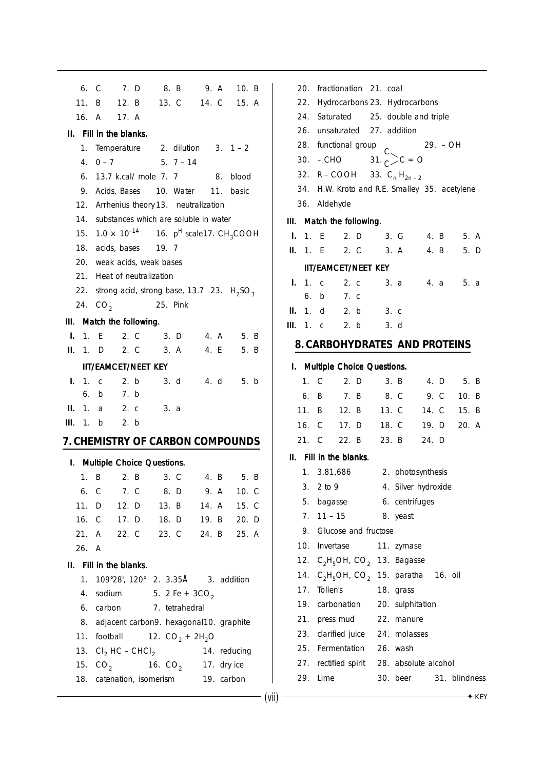6. C 7. D 8. B 9. A 10. B 11. B 12. B 13. C 14. C 15. A 16. A 17. A II. Fill in the blanks. 1. Temperature 2. dilution  $3. 1 - 2$  $4.0 - 7$  5.  $7 - 14$ 6. 13.7 k.cal/ mole 7. 7 8. blood 9. Acids, Bases 10. Water 11. basic 12. Arrhenius theory 13. neutralization 14. substances which are soluble in water 15.  $1.0 \times 10^{-14}$  16. p<sup>H</sup> scale17. CH<sub>3</sub>COOH 18. acids, bases 19. 7 20. weak acids, weak bases 21. Heat of neutralization 22. strong acid, strong base, 13.7 23.  $H_2SO_3$ 24.  $CO<sub>2</sub>$  25. Pink III. Match the following. I. 1. E 2. C 3. D 4. A 5. B **II.** 1. D 2. C 3. A 4. E 5. B IIT/EAMCET/NEET KEY **I.** 1. c 2. b 3. d 4. d 5. b 6. b 7. b II. 1. a 2. c 3. a **III.** 1. b 2. b **7. CHEMISTRY OF CARBON COMPOUNDS** I. Multiple Choice Questions. 1. B 2. B 3. C 4. B 5. B 6. C 7. C 8. D 9. A 10. C 11. D 12. D 13. B 14. A 15. C 16. C 17. D 18. D 19. B 20. D 21. A 22. C 23. C 24. B 25. A 26. A  $II.$  Fill in the blanks. 1. 109°28', 120° 2. 3.35Å 3. addition 4. sodium 5.  $2 \text{ Fe} + 3 \text{CO}_2$ 6. carbon 7. tetrahedral 8. adjacent carbon9. hexagonal10. graphite 11. football 12.  $CO_2 + 2H_2O$ 13. C*l* 2 HC – CHC*l* 14. reducing 15.  $CO_2$  16.  $CO_2$  17. dry ice 18. catenation, isomerism 19. carbon

20. fractionation 21. coal 22. Hydrocarbons 23. Hydrocarbons 24. Saturated 25. double and triple 26. unsaturated 27. addition 28. functional group 29. – OH 30. – CHO 31.  $\sim$  C = O 32. R – COOH 33.  $C_n H_{2n-2}$ 34. H.W. Kroto and R.E. Smalley 35. acetylene 36. Aldehyde III. Match the following. **I.** 1. E 2. D 3. G 4. B 5. A **II.** 1. E 2. C 3. A 4. B 5. D IIT/EAMCET/NEET KEY **I.** 1. c 2. c 3. a 4. a 5. a 6. b 7. c II. 1. d  $2. b$  3. c **III.** 1. c 2. b 3. d **8. CARBOHYDRATES AND PROTEINS** I. Multiple Choice Questions. 1. C 2. D 3. B 4. D 5. B 6. B 7. B 8. C 9. C 10. B 11. B 12. B 13. C 14. C 15. B 16. C 17. D 18. C 19. D 20. A 21. C 22. B 23. B 24. D  $II.$  Fill in the blanks. 1. 3.81,686 2. photosynthesis 3. 2 to 9 4. Silver hydroxide 5. bagasse 6. centrifuges 7. 11 – 15 8. yeast 9. Glucose and fructose 10. Invertase 11. zymase 12.  $C_2H_5OH$ , CO<sub>2</sub> 13. Bagasse 14.  $C_2H_5OH$ ,  $CO_2$  15. paratha 16. oil 17. Tollen's 18. grass 19. carbonation 20. sulphitation 21. press mud 22. manure 23. clarified juice 24. molasses 25. Fermentation 26. wash 27. rectified spirit 28. absolute alcohol 29. Lime 30. beer 31. blindness C C